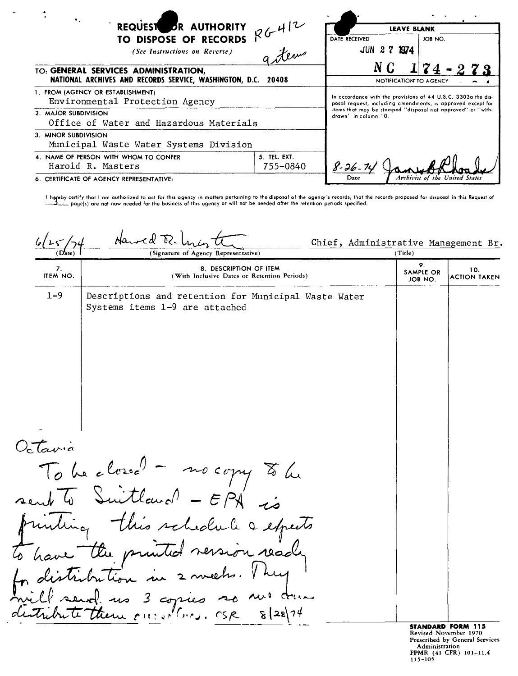| $\bullet$ .<br>26412<br>REQUEST OR AUTHORITY                                                             |                          | <b>LEAVE BLANK</b>                                                                                                                                                                                                  |                                |
|----------------------------------------------------------------------------------------------------------|--------------------------|---------------------------------------------------------------------------------------------------------------------------------------------------------------------------------------------------------------------|--------------------------------|
| TO DISPOSE OF RECORDS<br>(See Instructions on Reverse)                                                   | gitew                    | DATE RECEIVED<br>JUN 2 7 1974                                                                                                                                                                                       | JOB NO.                        |
| TO: GENERAL SERVICES ADMINISTRATION,<br>NATIONAL ARCHIVES AND RECORDS SERVICE, WASHINGTON, D.C.<br>20408 |                          | N C<br>$174 - 273$<br>NOTIFICATION TO AGENCY                                                                                                                                                                        |                                |
| 1. FROM (AGENCY OR ESTABLISHMENT)<br>Environmental Protection Agency                                     |                          | In accordance with the provisions of 44 U.S.C. 3303a the dis-<br>posal request, including amendments, is approved except for<br>items that moy be stamped "disposal nat approved" or "with-<br>drawn" in column 10. |                                |
| 2. MAJOR SUBDIVISION<br>Office of Water and Hazardous Materials                                          |                          |                                                                                                                                                                                                                     |                                |
| 3. MINOR SUBDIVISION<br>Municipal Waste Water Systems Division                                           |                          |                                                                                                                                                                                                                     |                                |
| 4. NAME OF PERSON WITH WHOM TO CONFER<br>Harold R. Masters                                               | 5. TEL. EXT.<br>755-0840 | $8 - 26 -$                                                                                                                                                                                                          |                                |
| 6. CERTIFICATE OF AGENCY REPRESENTATIVE:                                                                 |                          | Date                                                                                                                                                                                                                | Archivist of the United States |

l hereby certify thot I am authorized to act for this ogency in matters pertaining to the disposal of the agency's records; that the records propased for disposal in this Request of the besiness of this ogency or will not

Harved Tr Chief, Administrative Management Br.  $(D<sub>4</sub><sup>l</sup>)$ (Signature of Agency Representative) (Title) 9. 7. 8. DESCRIPTION OF ITEM 10.<br>ITEM NO. (With Inclusive Dates or Retention Periods) ACTION TAKEN JOB NO. ACTION TAKEN 1-9 Descriptions and retention for Municipal Waste Water Systems items 1-9 are attached  $O<sub>c</sub>$   $tan<sub>c</sub>$ To be closed - no copy to be<br>un To Suitland - EPA is miniting this schedule a expects the printed version ready nul drum 3 copies so مدر trem our estimas. OSR  $8|28|74$ STANDARD FORM 115

Revised November 1970 Prescribed by General Services Administration FPMR (41 CFR) 101-11.<br>115-105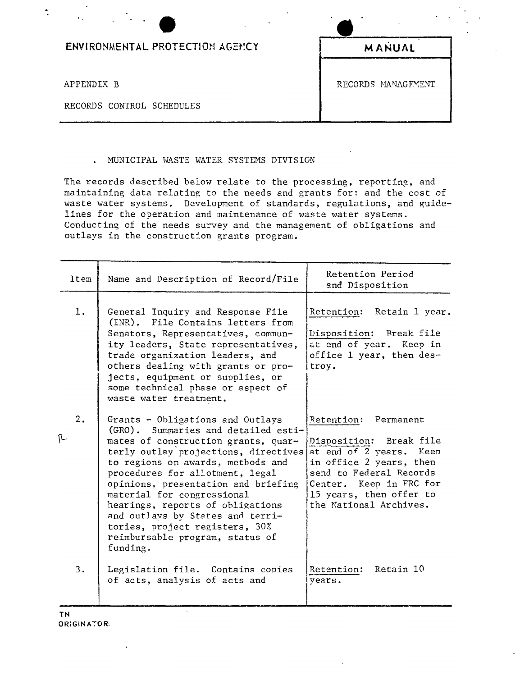| ENVIRONMENTAL PROTECTION AGENCY | MANUAL             |
|---------------------------------|--------------------|
| APPENDIX B                      | RECORDS MANAGEMENT |
| RECORDS CONTROL SCHEDULES       |                    |

## . MUNICIPAL WASTE WATER SYSTEMS DIVISION

The records described below relate to the processing, reporting, and maintaining data relating to the needs and grants for: and the cost of waste water systems. Development of standards, regulations, and guidelines for the operation and maintenance of waste water systems. Conducting of the needs survey and the management of obligations and outlays in the construction grants program.

|   | Item | Name and Description of Record/File                                                                                                                                                                                                                                                                                                                                                                                                                          | Retention Period<br>and Disposition                                                                                                                                                                              |
|---|------|--------------------------------------------------------------------------------------------------------------------------------------------------------------------------------------------------------------------------------------------------------------------------------------------------------------------------------------------------------------------------------------------------------------------------------------------------------------|------------------------------------------------------------------------------------------------------------------------------------------------------------------------------------------------------------------|
|   | 1.   | General Inquiry and Response File<br>(INR). File Contains letters from<br>Senators, Representatives, commun-<br>ity leaders, State representatives,<br>trade organization leaders, and<br>others dealing with grants or pro-<br>jects, equipment or supplies, or<br>some technical phase or aspect of<br>waste water treatment.                                                                                                                              | Retention: Retain 1 year.<br>Disposition: Rreak file<br>at end of year. Keep in<br>office 1 year, then des-<br>troy.                                                                                             |
| R | 2.   | Grants - Obligations and Outlays<br>(GRO). Summaries and detailed esti-<br>mates of construction grants, quar-<br>terly outlay projections, directives<br>to regions on awards, methods and<br>procedures for allotment, legal<br>opinions, presentation and briefing<br>material for congressional<br>hearings, reports of obligations<br>and outlays by States and terri-<br>tories, project registers, 30%<br>reimbursable program, status of<br>funding. | Retention: Permanent<br>Disposition: Break file<br>at end of 2 years. Keep<br>in office 2 years, then<br>send to Federal Records<br>Center. Keep in FRC for<br>15 years, then offer to<br>the National Archives. |
|   | 3.   | Legislation file. Contains copies<br>of acts, analysis of acts and                                                                                                                                                                                                                                                                                                                                                                                           | Retain 10<br>Retention:<br>years.                                                                                                                                                                                |

÷,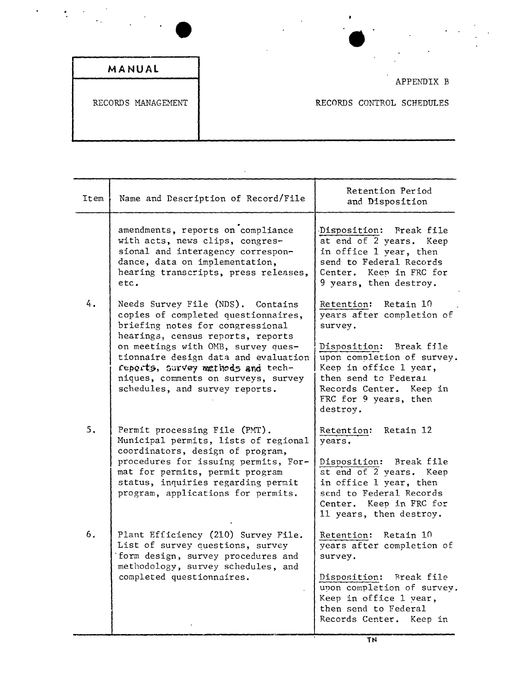| MANUAL |  |  |  |
|--------|--|--|--|
|        |  |  |  |

 $\langle \cdot \rangle$ 

 $\hat{\mathbf{r}}$ 

 $\frac{1}{2}$ 

APPENDIX B

RECORDS MANAGEMENT **RECORDS CONTROL SCHEDULES** 

| Item | Name and Description of Record/File                                                                                                                                                                                           | Retention Period<br>and Disposition                                                                                                                                        |
|------|-------------------------------------------------------------------------------------------------------------------------------------------------------------------------------------------------------------------------------|----------------------------------------------------------------------------------------------------------------------------------------------------------------------------|
|      | amendments, reports on compliance<br>with acts, news clips, congres-<br>sional and interagency correspon-<br>dance, data on implementation,<br>hearing transcripts, press releases,<br>etc.                                   | Disposition: Preak file<br>at end of 2 years. Keep<br>in office 1 year, then<br>send to Federal Records<br>Center. Keep in FRC for<br>9 years, then destroy.               |
| 4.   | Needs Survey File (NDS). Contains<br>copies of completed questionnaires,<br>briefing notes for congressional                                                                                                                  | Retention: Retain 10<br>years after completion of<br>survey.                                                                                                               |
|      | hearings, census reports, reports<br>on meetings with OMB, survey ques-<br>tionnaire design data and evaluation<br>reports, survey methods and tech-<br>niques, comments on surveys, survey<br>schedules, and survey reports. | Disposition: Break file<br>upon completion of survey.<br>Keep in office 1 year,<br>then send to Federal<br>Records Center.<br>Keep in<br>FRC for 9 years, then<br>destroy. |
| 5.   | Permit processing File (PMT).<br>Municipal permits, lists of regional<br>coordinators, design of program,                                                                                                                     | Retain 12<br>Retention:<br>years.                                                                                                                                          |
|      | procedures for issuing permits, For-<br>mat for permits, permit program<br>status, inquiries regarding permit<br>program, applications for permits.                                                                           | Disposition: Break file<br>at end of 2 years. Keep<br>in office 1 year, then<br>send to Federal Records<br>Center. Keep in FRC for<br>11 years, then destroy.              |
| 6.   | Plant Efficiency (210) Survey File.<br>List of survey questions, survey<br>form design, survey procedures and<br>methodology, survey schedules, and<br>completed questionnaires.                                              | Retention: Retain 10<br>years after completion of<br>survey.                                                                                                               |
|      |                                                                                                                                                                                                                               | Disposition:<br>Break file<br>upon completion of survey.<br>Keep in office 1 year,<br>then send to Federal<br>Records Center.<br>Keep in                                   |

 $\hat{\mathcal{A}}$